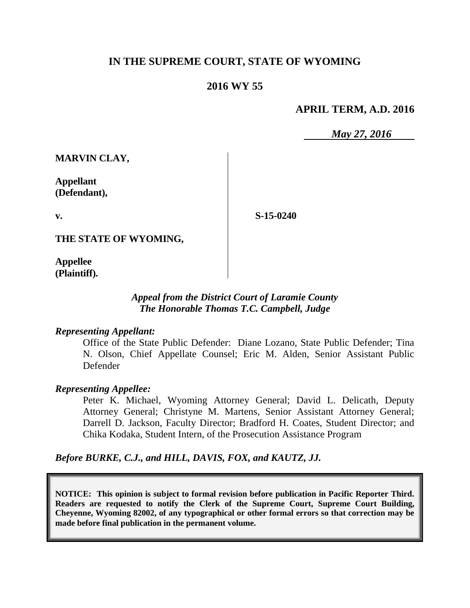# **IN THE SUPREME COURT, STATE OF WYOMING**

# **2016 WY 55**

### **APRIL TERM, A.D. 2016**

*May 27, 2016*

**MARVIN CLAY,**

**Appellant (Defendant),**

**v.**

**S-15-0240**

**THE STATE OF WYOMING,**

**Appellee (Plaintiff).**

## *Appeal from the District Court of Laramie County The Honorable Thomas T.C. Campbell, Judge*

#### *Representing Appellant:*

Office of the State Public Defender: Diane Lozano, State Public Defender; Tina N. Olson, Chief Appellate Counsel; Eric M. Alden, Senior Assistant Public Defender

#### *Representing Appellee:*

Peter K. Michael, Wyoming Attorney General; David L. Delicath, Deputy Attorney General; Christyne M. Martens, Senior Assistant Attorney General; Darrell D. Jackson, Faculty Director; Bradford H. Coates, Student Director; and Chika Kodaka, Student Intern, of the Prosecution Assistance Program

*Before BURKE, C.J., and HILL, DAVIS, FOX, and KAUTZ, JJ.*

**NOTICE: This opinion is subject to formal revision before publication in Pacific Reporter Third. Readers are requested to notify the Clerk of the Supreme Court, Supreme Court Building, Cheyenne, Wyoming 82002, of any typographical or other formal errors so that correction may be made before final publication in the permanent volume.**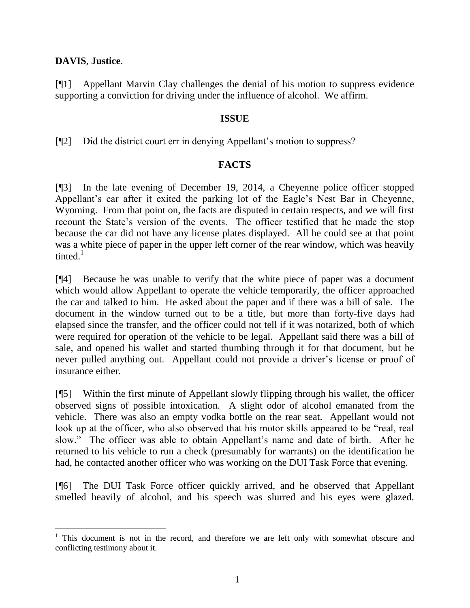## **DAVIS**, **Justice**.

l

[¶1] Appellant Marvin Clay challenges the denial of his motion to suppress evidence supporting a conviction for driving under the influence of alcohol. We affirm.

#### **ISSUE**

[¶2] Did the district court err in denying Appellant's motion to suppress?

#### **FACTS**

[¶3] In the late evening of December 19, 2014, a Cheyenne police officer stopped Appellant's car after it exited the parking lot of the Eagle's Nest Bar in Cheyenne, Wyoming. From that point on, the facts are disputed in certain respects, and we will first recount the State's version of the events. The officer testified that he made the stop because the car did not have any license plates displayed. All he could see at that point was a white piece of paper in the upper left corner of the rear window, which was heavily tinted. $1$ 

[¶4] Because he was unable to verify that the white piece of paper was a document which would allow Appellant to operate the vehicle temporarily, the officer approached the car and talked to him. He asked about the paper and if there was a bill of sale. The document in the window turned out to be a title, but more than forty-five days had elapsed since the transfer, and the officer could not tell if it was notarized, both of which were required for operation of the vehicle to be legal. Appellant said there was a bill of sale, and opened his wallet and started thumbing through it for that document, but he never pulled anything out. Appellant could not provide a driver's license or proof of insurance either.

[¶5] Within the first minute of Appellant slowly flipping through his wallet, the officer observed signs of possible intoxication. A slight odor of alcohol emanated from the vehicle. There was also an empty vodka bottle on the rear seat. Appellant would not look up at the officer, who also observed that his motor skills appeared to be "real, real slow." The officer was able to obtain Appellant's name and date of birth. After he returned to his vehicle to run a check (presumably for warrants) on the identification he had, he contacted another officer who was working on the DUI Task Force that evening.

[¶6] The DUI Task Force officer quickly arrived, and he observed that Appellant smelled heavily of alcohol, and his speech was slurred and his eyes were glazed.

 $1$  This document is not in the record, and therefore we are left only with somewhat obscure and conflicting testimony about it.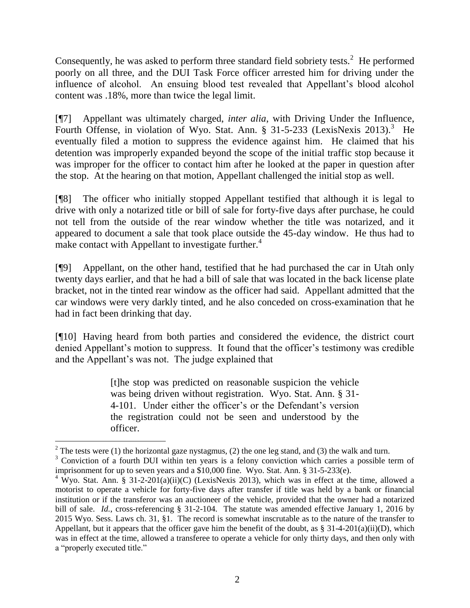Consequently, he was asked to perform three standard field sobriety tests. $2$  He performed poorly on all three, and the DUI Task Force officer arrested him for driving under the influence of alcohol. An ensuing blood test revealed that Appellant's blood alcohol content was .18%, more than twice the legal limit.

[¶7] Appellant was ultimately charged, *inter alia*, with Driving Under the Influence, Fourth Offense, in violation of Wyo. Stat. Ann. § 31-5-233 (LexisNexis 2013).<sup>3</sup> He eventually filed a motion to suppress the evidence against him. He claimed that his detention was improperly expanded beyond the scope of the initial traffic stop because it was improper for the officer to contact him after he looked at the paper in question after the stop. At the hearing on that motion, Appellant challenged the initial stop as well.

[¶8] The officer who initially stopped Appellant testified that although it is legal to drive with only a notarized title or bill of sale for forty-five days after purchase, he could not tell from the outside of the rear window whether the title was notarized, and it appeared to document a sale that took place outside the 45-day window. He thus had to make contact with Appellant to investigate further.<sup>4</sup>

[¶9] Appellant, on the other hand, testified that he had purchased the car in Utah only twenty days earlier, and that he had a bill of sale that was located in the back license plate bracket, not in the tinted rear window as the officer had said. Appellant admitted that the car windows were very darkly tinted, and he also conceded on cross-examination that he had in fact been drinking that day.

[¶10] Having heard from both parties and considered the evidence, the district court denied Appellant's motion to suppress. It found that the officer's testimony was credible and the Appellant's was not. The judge explained that

> [t]he stop was predicted on reasonable suspicion the vehicle was being driven without registration. Wyo. Stat. Ann. § 31- 4-101. Under either the officer's or the Defendant's version the registration could not be seen and understood by the officer.

<sup>&</sup>lt;sup>2</sup> The tests were (1) the horizontal gaze nystagmus, (2) the one leg stand, and (3) the walk and turn.

<sup>&</sup>lt;sup>3</sup> Conviction of a fourth DUI within ten years is a felony conviction which carries a possible term of imprisonment for up to seven years and a \$10,000 fine. Wyo. Stat. Ann. § 31-5-233(e).

<sup>&</sup>lt;sup>4</sup> Wyo. Stat. Ann. § 31-2-201(a)(ii)(C) (LexisNexis 2013), which was in effect at the time, allowed a motorist to operate a vehicle for forty-five days after transfer if title was held by a bank or financial institution or if the transferor was an auctioneer of the vehicle, provided that the owner had a notarized bill of sale. *Id.*, cross-referencing § 31-2-104. The statute was amended effective January 1, 2016 by 2015 Wyo. Sess. Laws ch. 31, §1. The record is somewhat inscrutable as to the nature of the transfer to Appellant, but it appears that the officer gave him the benefit of the doubt, as  $\S 31-4-201(a)(ii)(D)$ , which was in effect at the time, allowed a transferee to operate a vehicle for only thirty days, and then only with a "properly executed title."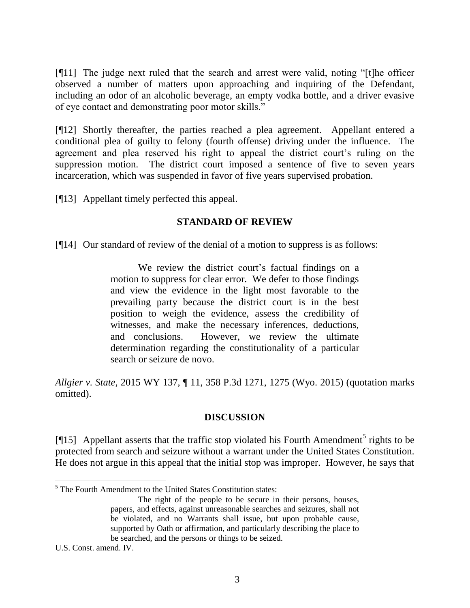[¶11] The judge next ruled that the search and arrest were valid, noting "[t]he officer observed a number of matters upon approaching and inquiring of the Defendant, including an odor of an alcoholic beverage, an empty vodka bottle, and a driver evasive of eye contact and demonstrating poor motor skills."

[¶12] Shortly thereafter, the parties reached a plea agreement. Appellant entered a conditional plea of guilty to felony (fourth offense) driving under the influence. The agreement and plea reserved his right to appeal the district court's ruling on the suppression motion. The district court imposed a sentence of five to seven years incarceration, which was suspended in favor of five years supervised probation.

[¶13] Appellant timely perfected this appeal.

#### **STANDARD OF REVIEW**

[¶14] Our standard of review of the denial of a motion to suppress is as follows:

We review the district court's factual findings on a motion to suppress for clear error. We defer to those findings and view the evidence in the light most favorable to the prevailing party because the district court is in the best position to weigh the evidence, assess the credibility of witnesses, and make the necessary inferences, deductions, and conclusions. However, we review the ultimate determination regarding the constitutionality of a particular search or seizure de novo.

*Allgier v. State*, 2015 WY 137, ¶ 11, 358 P.3d 1271, 1275 (Wyo. 2015) (quotation marks omitted).

## **DISCUSSION**

[ $\llbracket$ 15] Appellant asserts that the traffic stop violated his Fourth Amendment<sup>5</sup> rights to be protected from search and seizure without a warrant under the United States Constitution. He does not argue in this appeal that the initial stop was improper. However, he says that

U.S. Const. amend. IV.

 $<sup>5</sup>$  The Fourth Amendment to the United States Constitution states:</sup>

The right of the people to be secure in their persons, houses, papers, and effects, against unreasonable searches and seizures, shall not be violated, and no Warrants shall issue, but upon probable cause, supported by Oath or affirmation, and particularly describing the place to be searched, and the persons or things to be seized.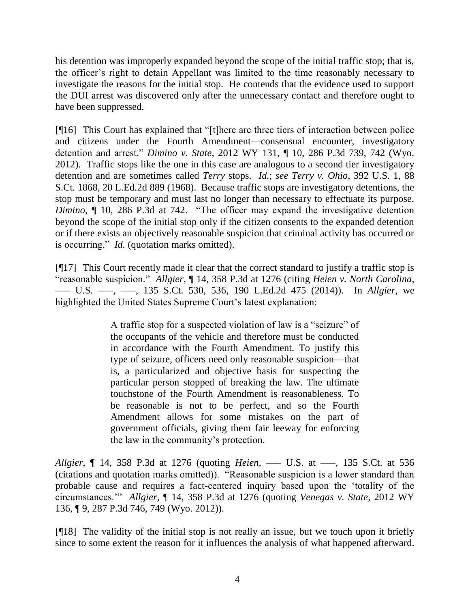his detention was improperly expanded beyond the scope of the initial traffic stop; that is, the officer's right to detain Appellant was limited to the time reasonably necessary to investigate the reasons for the initial stop. He contends that the evidence used to support the DUI arrest was discovered only after the unnecessary contact and therefore ought to have been suppressed.

[¶16] This Court has explained that "[t]here are three tiers of interaction between police and citizens under the Fourth Amendment—consensual encounter, investigatory detention and arrest." *Dimino v. State*, 2012 WY 131, ¶ 10, 286 P.3d 739, 742 (Wyo. 2012). Traffic stops like the one in this case are analogous to a second tier investigatory detention and are sometimes called *Terry* stops. *Id.*; *see Terry v. Ohio*, 392 U.S. 1, 88 S.Ct. 1868, 20 L.Ed.2d 889 (1968). Because traffic stops are investigatory detentions, the stop must be temporary and must last no longer than necessary to effectuate its purpose. *Dimino*,  $\parallel$  10, 286 P.3d at 742. "The officer may expand the investigative detention beyond the scope of the initial stop only if the citizen consents to the expanded detention or if there exists an objectively reasonable suspicion that criminal activity has occurred or is occurring." *Id.* (quotation marks omitted).

[¶17] This Court recently made it clear that the correct standard to justify a traffic stop is "reasonable suspicion." *Allgier*, ¶ 14, 358 P.3d at 1276 (citing *Heien v. North Carolina*, ––– U.S. –––, –––, 135 S.Ct. 530, 536, 190 L.Ed.2d 475 (2014)). In *Allgier*, we highlighted the United States Supreme Court's latest explanation:

> A traffic stop for a suspected violation of law is a "seizure" of the occupants of the vehicle and therefore must be conducted in accordance with the Fourth Amendment. To justify this type of seizure, officers need only reasonable suspicion—that is, a particularized and objective basis for suspecting the particular person stopped of breaking the law. The ultimate touchstone of the Fourth Amendment is reasonableness. To be reasonable is not to be perfect, and so the Fourth Amendment allows for some mistakes on the part of government officials, giving them fair leeway for enforcing the law in the community's protection.

*Allgier*, ¶ 14, 358 P.3d at 1276 (quoting *Heien*, ––– U.S. at –––, 135 S.Ct. at 536 (citations and quotation marks omitted)). "Reasonable suspicion is a lower standard than probable cause and requires a fact-centered inquiry based upon the 'totality of the circumstances.'" *Allgier,* ¶ 14, 358 P.3d at 1276 (quoting *Venegas v. State*, 2012 WY 136, ¶ 9, 287 P.3d 746, 749 (Wyo. 2012)).

[¶18] The validity of the initial stop is not really an issue, but we touch upon it briefly since to some extent the reason for it influences the analysis of what happened afterward.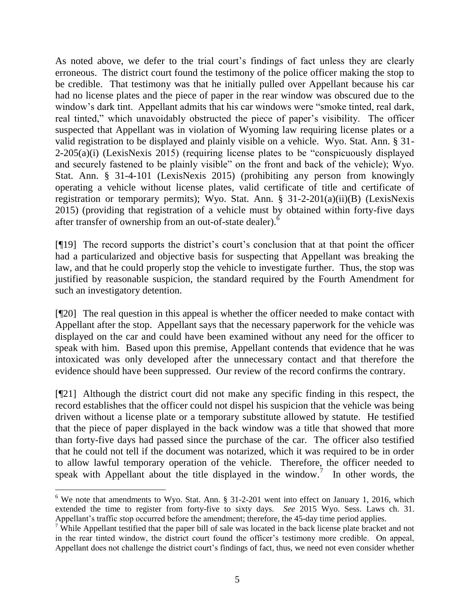As noted above, we defer to the trial court's findings of fact unless they are clearly erroneous. The district court found the testimony of the police officer making the stop to be credible. That testimony was that he initially pulled over Appellant because his car had no license plates and the piece of paper in the rear window was obscured due to the window's dark tint. Appellant admits that his car windows were "smoke tinted, real dark, real tinted," which unavoidably obstructed the piece of paper's visibility. The officer suspected that Appellant was in violation of Wyoming law requiring license plates or a valid registration to be displayed and plainly visible on a vehicle. Wyo. Stat. Ann. § 31- 2-205(a)(i) (LexisNexis 2015) (requiring license plates to be "conspicuously displayed and securely fastened to be plainly visible" on the front and back of the vehicle); Wyo. Stat. Ann. § 31-4-101 (LexisNexis 2015) (prohibiting any person from knowingly operating a vehicle without license plates, valid certificate of title and certificate of registration or temporary permits); Wyo. Stat. Ann. § 31-2-201(a)(ii)(B) (LexisNexis 2015) (providing that registration of a vehicle must by obtained within forty-five days after transfer of ownership from an out-of-state dealer). $\delta$ 

[¶19] The record supports the district's court's conclusion that at that point the officer had a particularized and objective basis for suspecting that Appellant was breaking the law, and that he could properly stop the vehicle to investigate further. Thus, the stop was justified by reasonable suspicion, the standard required by the Fourth Amendment for such an investigatory detention.

[¶20] The real question in this appeal is whether the officer needed to make contact with Appellant after the stop. Appellant says that the necessary paperwork for the vehicle was displayed on the car and could have been examined without any need for the officer to speak with him. Based upon this premise, Appellant contends that evidence that he was intoxicated was only developed after the unnecessary contact and that therefore the evidence should have been suppressed. Our review of the record confirms the contrary.

[¶21] Although the district court did not make any specific finding in this respect, the record establishes that the officer could not dispel his suspicion that the vehicle was being driven without a license plate or a temporary substitute allowed by statute. He testified that the piece of paper displayed in the back window was a title that showed that more than forty-five days had passed since the purchase of the car. The officer also testified that he could not tell if the document was notarized, which it was required to be in order to allow lawful temporary operation of the vehicle. Therefore, the officer needed to speak with Appellant about the title displayed in the window.<sup>7</sup> In other words, the

 $\overline{a}$ 

<sup>&</sup>lt;sup>6</sup> We note that amendments to Wyo. Stat. Ann.  $\S 31-2-201$  went into effect on January 1, 2016, which extended the time to register from forty-five to sixty days. *See* 2015 Wyo. Sess. Laws ch. 31. Appellant's traffic stop occurred before the amendment; therefore, the 45-day time period applies.

<sup>&</sup>lt;sup>7</sup> While Appellant testified that the paper bill of sale was located in the back license plate bracket and not in the rear tinted window, the district court found the officer's testimony more credible. On appeal, Appellant does not challenge the district court's findings of fact, thus, we need not even consider whether